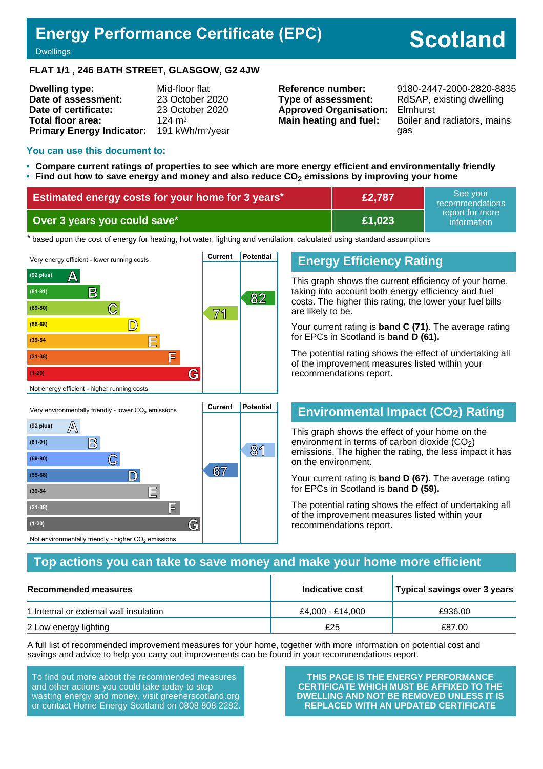# **Energy Performance Certificate (EPC)**

# **Scotland**

**Dwellings** 

#### **FLAT 1/1 , 246 BATH STREET, GLASGOW, G2 4JW**

| <b>Dwelling type:</b>            | Mid-floor flat               |
|----------------------------------|------------------------------|
| Date of assessment:              | 23 October 2020              |
| Date of certificate:             | 23 October 2020              |
| Total floor area:                | $124 \text{ m}^2$            |
| <b>Primary Energy Indicator:</b> | 191 kWh/m <sup>2</sup> /year |

**Type of assessment:** RdSAP, existing dwelling **Approved Organisation:** Elmhurst

**Reference number:** 9180-2447-2000-2820-8835 **Main heating and fuel:** Boiler and radiators, mains gas

#### **You can use this document to:**

**(39-54 E**

**(21-38) F**

Not environmentally friendly - higher  $\mathrm{CO}_2$  emissions

**(1-20) G**

- **Compare current ratings of properties to see which are more energy efficient and environmentally friendly**
- **Find out how to save energy and money and also reduce CO2 emissions by improving your home**

| <b>Estimated energy costs for your home for 3 years*1</b> | £2,787 | See vour<br>recommendations    |
|-----------------------------------------------------------|--------|--------------------------------|
| Over 3 years you could save*                              | E1,023 | report for more<br>information |

the based upon the cost of energy for heating, hot water, lighting and ventilation, calculated using standard assumptions



#### **Energy Efficiency Rating**

This graph shows the current efficiency of your home, taking into account both energy efficiency and fuel costs. The higher this rating, the lower your fuel bills are likely to be.

Your current rating is **band C (71)**. The average rating for EPCs in Scotland is **band D (61).**

The potential rating shows the effect of undertaking all of the improvement measures listed within your recommendations report.

## **Environmental Impact (CO2) Rating**

This graph shows the effect of your home on the environment in terms of carbon dioxide  $(CO<sub>2</sub>)$ emissions. The higher the rating, the less impact it has on the environment.

Your current rating is **band D (67)**. The average rating for EPCs in Scotland is **band D (59).**

The potential rating shows the effect of undertaking all of the improvement measures listed within your recommendations report.

#### **Top actions you can take to save money and make your home more efficient**

| Recommended measures                   | Indicative cost  | Typical savings over 3 years |
|----------------------------------------|------------------|------------------------------|
| 1 Internal or external wall insulation | £4.000 - £14.000 | £936.00                      |
| 2 Low energy lighting                  | £25              | £87.00                       |

A full list of recommended improvement measures for your home, together with more information on potential cost and savings and advice to help you carry out improvements can be found in your recommendations report.

To find out more about the recommended measures and other actions you could take today to stop wasting energy and money, visit greenerscotland.org or contact Home Energy Scotland on 0808 808 2282.

**THIS PAGE IS THE ENERGY PERFORMANCE CERTIFICATE WHICH MUST BE AFFIXED TO THE DWELLING AND NOT BE REMOVED UNLESS IT IS REPLACED WITH AN UPDATED CERTIFICATE**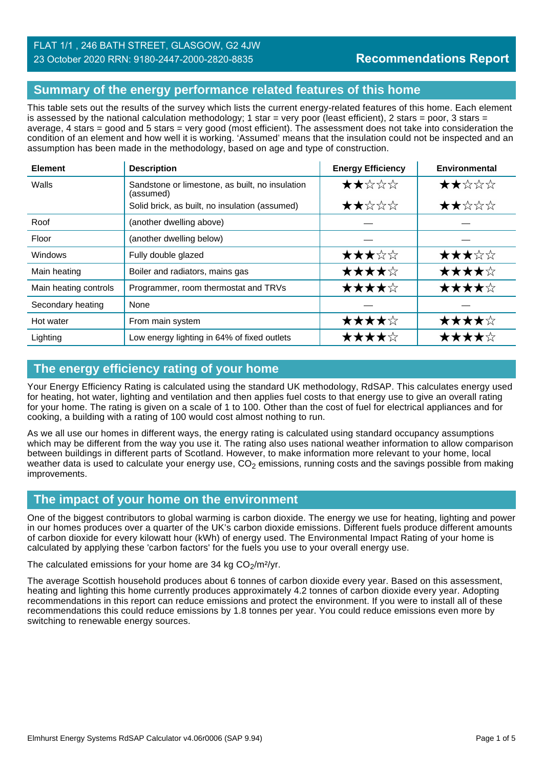#### **Summary of the energy performance related features of this home**

This table sets out the results of the survey which lists the current energy-related features of this home. Each element is assessed by the national calculation methodology; 1 star = very poor (least efficient), 2 stars = poor, 3 stars = average, 4 stars = good and 5 stars = very good (most efficient). The assessment does not take into consideration the condition of an element and how well it is working. 'Assumed' means that the insulation could not be inspected and an assumption has been made in the methodology, based on age and type of construction.

| <b>Element</b>        | <b>Description</b>                                           | <b>Energy Efficiency</b> | Environmental |
|-----------------------|--------------------------------------------------------------|--------------------------|---------------|
| Walls                 | Sandstone or limestone, as built, no insulation<br>(assumed) | ★★☆☆☆                    | ★★☆☆☆         |
|                       | Solid brick, as built, no insulation (assumed)               | ★★☆☆☆                    | ★★☆☆☆         |
| Roof                  | (another dwelling above)                                     |                          |               |
| Floor                 | (another dwelling below)                                     |                          |               |
| <b>Windows</b>        | Fully double glazed                                          | ★★★☆☆                    | ★★★☆☆         |
| Main heating          | Boiler and radiators, mains gas                              | ★★★★☆                    | ★★★★☆         |
| Main heating controls | Programmer, room thermostat and TRVs                         | ★★★★☆                    | ★★★★☆         |
| Secondary heating     | None                                                         |                          |               |
| Hot water             | From main system                                             | ★★★★☆                    | ★★★★☆         |
| Lighting              | Low energy lighting in 64% of fixed outlets                  | ★★★★☆                    | ★★★★☆         |

## **The energy efficiency rating of your home**

Your Energy Efficiency Rating is calculated using the standard UK methodology, RdSAP. This calculates energy used for heating, hot water, lighting and ventilation and then applies fuel costs to that energy use to give an overall rating for your home. The rating is given on a scale of 1 to 100. Other than the cost of fuel for electrical appliances and for cooking, a building with a rating of 100 would cost almost nothing to run.

As we all use our homes in different ways, the energy rating is calculated using standard occupancy assumptions which may be different from the way you use it. The rating also uses national weather information to allow comparison between buildings in different parts of Scotland. However, to make information more relevant to your home, local weather data is used to calculate your energy use,  $CO<sub>2</sub>$  emissions, running costs and the savings possible from making improvements.

## **The impact of your home on the environment**

One of the biggest contributors to global warming is carbon dioxide. The energy we use for heating, lighting and power in our homes produces over a quarter of the UK's carbon dioxide emissions. Different fuels produce different amounts of carbon dioxide for every kilowatt hour (kWh) of energy used. The Environmental Impact Rating of your home is calculated by applying these 'carbon factors' for the fuels you use to your overall energy use.

The calculated emissions for your home are 34 kg  $CO<sub>2</sub>/m<sup>2</sup>/yr$ .

The average Scottish household produces about 6 tonnes of carbon dioxide every year. Based on this assessment, heating and lighting this home currently produces approximately 4.2 tonnes of carbon dioxide every year. Adopting recommendations in this report can reduce emissions and protect the environment. If you were to install all of these recommendations this could reduce emissions by 1.8 tonnes per year. You could reduce emissions even more by switching to renewable energy sources.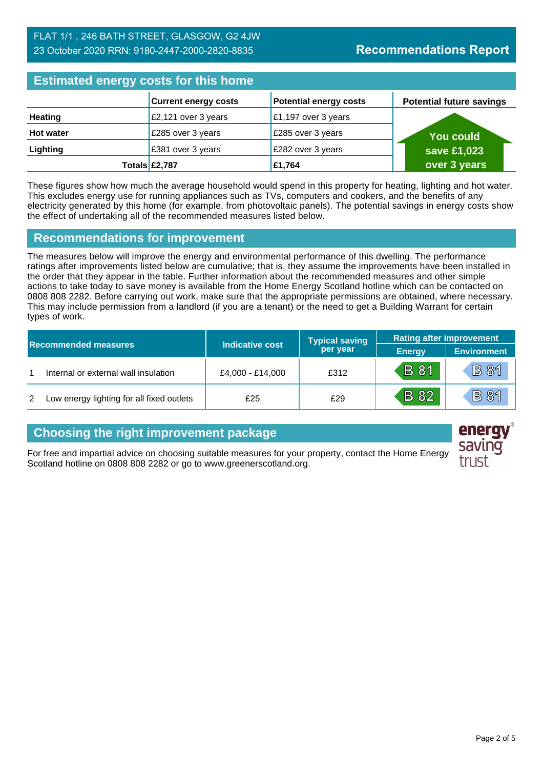#### FLAT 1/1 , 246 BATH STREET, GLASGOW, G2 4JW 23 October 2020 RRN: 9180-2447-2000-2820-8835

# **Estimated energy costs for this home**

| <b>ESUTING CITE OF STORY COOLS TOT LITTS HOTHLE</b> |                                 |                               |                                 |  |
|-----------------------------------------------------|---------------------------------|-------------------------------|---------------------------------|--|
|                                                     | <b>Current energy costs</b>     | <b>Potential energy costs</b> | <b>Potential future savings</b> |  |
| <b>Heating</b>                                      | $\frac{2}{2}$ ,121 over 3 years | £1,197 over 3 years           |                                 |  |
| <b>Hot water</b>                                    | £285 over 3 years               | £285 over 3 years             | <b>You could</b>                |  |
| Lighting                                            | £381 over 3 years               | £282 over 3 years             | save £1,023                     |  |
|                                                     | Totals £2,787                   | £1,764                        | over 3 years                    |  |

These figures show how much the average household would spend in this property for heating, lighting and hot water. This excludes energy use for running appliances such as TVs, computers and cookers, and the benefits of any electricity generated by this home (for example, from photovoltaic panels). The potential savings in energy costs show the effect of undertaking all of the recommended measures listed below.

#### **Recommendations for improvement**

The measures below will improve the energy and environmental performance of this dwelling. The performance ratings after improvements listed below are cumulative; that is, they assume the improvements have been installed in the order that they appear in the table. Further information about the recommended measures and other simple actions to take today to save money is available from the Home Energy Scotland hotline which can be contacted on 0808 808 2282. Before carrying out work, make sure that the appropriate permissions are obtained, where necessary. This may include permission from a landlord (if you are a tenant) or the need to get a Building Warrant for certain types of work.

| <b>Recommended measures</b> |                                           |                        | <b>Typical saving</b> | <b>Rating after improvement</b> |                    |
|-----------------------------|-------------------------------------------|------------------------|-----------------------|---------------------------------|--------------------|
|                             |                                           | <b>Indicative cost</b> | per year              | <b>Energy</b>                   | <b>Environment</b> |
|                             | Internal or external wall insulation      | £4,000 - £14,000       | £312                  | <b>B</b> 81                     | <b>B 81</b>        |
| 2                           | Low energy lighting for all fixed outlets | £25                    | £29                   | <b>B</b> 82                     | <b>B</b> 81        |

## **Choosing the right improvement package**

For free and impartial advice on choosing suitable measures for your property, contact the Home Energy Scotland hotline on 0808 808 2282 or go to www.greenerscotland.org.

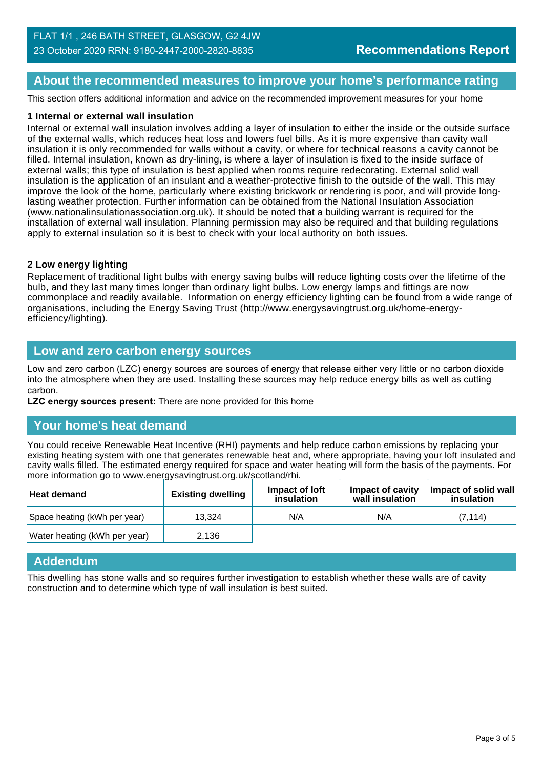#### **About the recommended measures to improve your home's performance rating**

This section offers additional information and advice on the recommended improvement measures for your home

#### **1 Internal or external wall insulation**

Internal or external wall insulation involves adding a layer of insulation to either the inside or the outside surface of the external walls, which reduces heat loss and lowers fuel bills. As it is more expensive than cavity wall insulation it is only recommended for walls without a cavity, or where for technical reasons a cavity cannot be filled. Internal insulation, known as dry-lining, is where a layer of insulation is fixed to the inside surface of external walls; this type of insulation is best applied when rooms require redecorating. External solid wall insulation is the application of an insulant and a weather-protective finish to the outside of the wall. This may improve the look of the home, particularly where existing brickwork or rendering is poor, and will provide longlasting weather protection. Further information can be obtained from the National Insulation Association (www.nationalinsulationassociation.org.uk). It should be noted that a building warrant is required for the installation of external wall insulation. Planning permission may also be required and that building regulations apply to external insulation so it is best to check with your local authority on both issues.

#### **2 Low energy lighting**

Replacement of traditional light bulbs with energy saving bulbs will reduce lighting costs over the lifetime of the bulb, and they last many times longer than ordinary light bulbs. Low energy lamps and fittings are now commonplace and readily available. Information on energy efficiency lighting can be found from a wide range of organisations, including the Energy Saving Trust (http://www.energysavingtrust.org.uk/home-energyefficiency/lighting).

#### **Low and zero carbon energy sources**

Low and zero carbon (LZC) energy sources are sources of energy that release either very little or no carbon dioxide into the atmosphere when they are used. Installing these sources may help reduce energy bills as well as cutting carbon.

**LZC energy sources present:** There are none provided for this home

#### **Your home's heat demand**

You could receive Renewable Heat Incentive (RHI) payments and help reduce carbon emissions by replacing your existing heating system with one that generates renewable heat and, where appropriate, having your loft insulated and cavity walls filled. The estimated energy required for space and water heating will form the basis of the payments. For more information go to www.energysavingtrust.org.uk/scotland/rhi.

| <b>Heat demand</b>           | <b>Existing dwelling</b> | Impact of loft<br>insulation | Impact of cavity<br>wall insulation | Impact of solid wall<br>insulation |
|------------------------------|--------------------------|------------------------------|-------------------------------------|------------------------------------|
| Space heating (kWh per year) | 13.324                   | N/A                          | N/A                                 | (7.114)                            |
| Water heating (kWh per year) | 2.136                    |                              |                                     |                                    |

#### **Addendum**

This dwelling has stone walls and so requires further investigation to establish whether these walls are of cavity construction and to determine which type of wall insulation is best suited.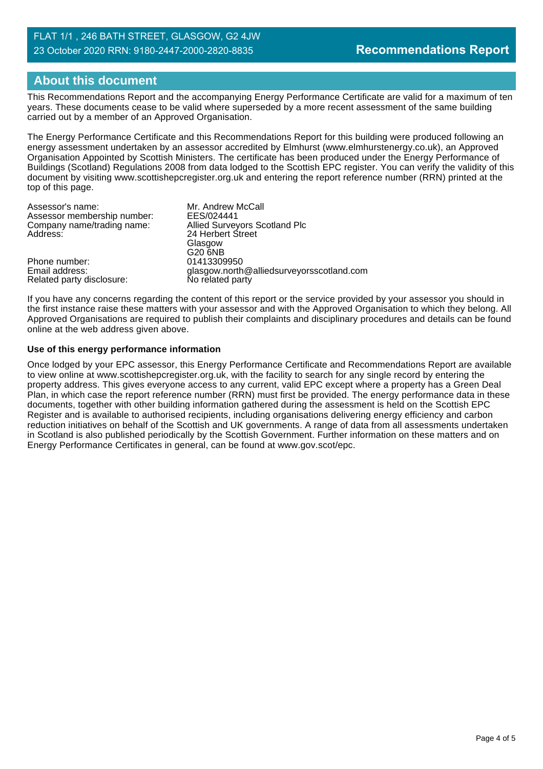# **About this document**

This Recommendations Report and the accompanying Energy Performance Certificate are valid for a maximum of ten years. These documents cease to be valid where superseded by a more recent assessment of the same building carried out by a member of an Approved Organisation.

The Energy Performance Certificate and this Recommendations Report for this building were produced following an energy assessment undertaken by an assessor accredited by Elmhurst (www.elmhurstenergy.co.uk), an Approved Organisation Appointed by Scottish Ministers. The certificate has been produced under the Energy Performance of Buildings (Scotland) Regulations 2008 from data lodged to the Scottish EPC register. You can verify the validity of this document by visiting www.scottishepcregister.org.uk and entering the report reference number (RRN) printed at the top of this page.

| Assessor's name:            | Mr. Andrew McCall                         |
|-----------------------------|-------------------------------------------|
| Assessor membership number: | EES/024441                                |
| Company name/trading name:  | Allied Surveyors Scotland Plc             |
| Address:                    | 24 Herbert Street                         |
|                             | Glasgow                                   |
|                             | G20 6NB                                   |
| Phone number:               | 01413309950                               |
| Email address:              | glasgow.north@alliedsurveyorsscotland.com |
| Related party disclosure:   | No related party                          |

If you have any concerns regarding the content of this report or the service provided by your assessor you should in the first instance raise these matters with your assessor and with the Approved Organisation to which they belong. All Approved Organisations are required to publish their complaints and disciplinary procedures and details can be found online at the web address given above.

#### **Use of this energy performance information**

Once lodged by your EPC assessor, this Energy Performance Certificate and Recommendations Report are available to view online at www.scottishepcregister.org.uk, with the facility to search for any single record by entering the property address. This gives everyone access to any current, valid EPC except where a property has a Green Deal Plan, in which case the report reference number (RRN) must first be provided. The energy performance data in these documents, together with other building information gathered during the assessment is held on the Scottish EPC Register and is available to authorised recipients, including organisations delivering energy efficiency and carbon reduction initiatives on behalf of the Scottish and UK governments. A range of data from all assessments undertaken in Scotland is also published periodically by the Scottish Government. Further information on these matters and on Energy Performance Certificates in general, can be found at www.gov.scot/epc.